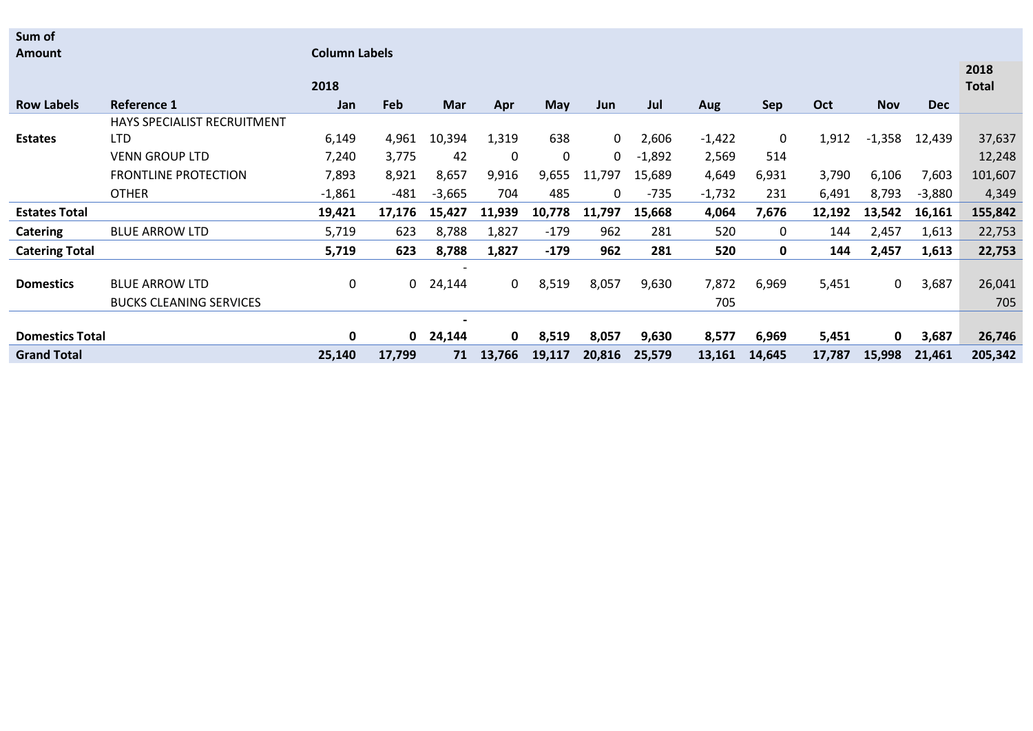**Sum of** 

|                        |                                | 2018         |              |          |              |            |          |          |          |        |        |            |            | 2018<br><b>Total</b> |
|------------------------|--------------------------------|--------------|--------------|----------|--------------|------------|----------|----------|----------|--------|--------|------------|------------|----------------------|
| <b>Row Labels</b>      | Reference 1                    | Jan          | Feb          | Mar      | Apr          | <b>May</b> | Jun      | Jul      | Aug      | Sep    | Oct    | <b>Nov</b> | <b>Dec</b> |                      |
|                        | HAYS SPECIALIST RECRUITMENT    |              |              |          |              |            |          |          |          |        |        |            |            |                      |
| <b>Estates</b>         | <b>LTD</b>                     | 6,149        | 4,961        | 10,394   | 1,319        | 638        | $\Omega$ | 2,606    | $-1,422$ | 0      | 1,912  | $-1,358$   | 12,439     | 37,637               |
|                        | <b>VENN GROUP LTD</b>          | 7,240        | 3,775        | 42       | $\Omega$     | 0          | 0        | $-1,892$ | 2,569    | 514    |        |            |            | 12,248               |
|                        | <b>FRONTLINE PROTECTION</b>    | 7,893        | 8,921        | 8,657    | 9,916        | 9,655      | 11,797   | 15,689   | 4,649    | 6,931  | 3,790  | 6,106      | 7,603      | 101,607              |
|                        | <b>OTHER</b>                   | $-1,861$     | $-481$       | $-3,665$ | 704          | 485        | 0        | $-735$   | $-1,732$ | 231    | 6,491  | 8,793      | $-3,880$   | 4,349                |
| <b>Estates Total</b>   |                                | 19,421       | 17,176       | 15,427   | 11,939       | 10,778     | 11,797   | 15,668   | 4,064    | 7,676  | 12,192 | 13,542     | 16,161     | 155,842              |
| <b>Catering</b>        | <b>BLUE ARROW LTD</b>          | 5,719        | 623          | 8,788    | 1,827        | $-179$     | 962      | 281      | 520      | 0      | 144    | 2,457      | 1,613      | 22,753               |
| <b>Catering Total</b>  |                                | 5,719        | 623          | 8,788    | 1,827        | $-179$     | 962      | 281      | 520      | 0      | 144    | 2,457      | 1,613      | 22,753               |
|                        |                                |              |              |          |              |            |          |          |          |        |        |            |            |                      |
| <b>Domestics</b>       | <b>BLUE ARROW LTD</b>          | 0            | 0            | 24,144   | 0            | 8,519      | 8,057    | 9,630    | 7,872    | 6,969  | 5,451  | $\Omega$   | 3,687      | 26,041               |
|                        | <b>BUCKS CLEANING SERVICES</b> |              |              |          |              |            |          |          | 705      |        |        |            |            | 705                  |
|                        |                                |              |              |          |              |            |          |          |          |        |        |            |            |                      |
| <b>Domestics Total</b> |                                | $\mathbf{0}$ | $\mathbf{0}$ | 24,144   | $\mathbf{0}$ | 8,519      | 8,057    | 9,630    | 8,577    | 6,969  | 5,451  | 0          | 3,687      | 26,746               |
| <b>Grand Total</b>     |                                | 25,140       | 17,799       | 71       | 13,766       | 19,117     | 20,816   | 25,579   | 13,161   | 14,645 | 17,787 | 15,998     | 21,461     | 205,342              |